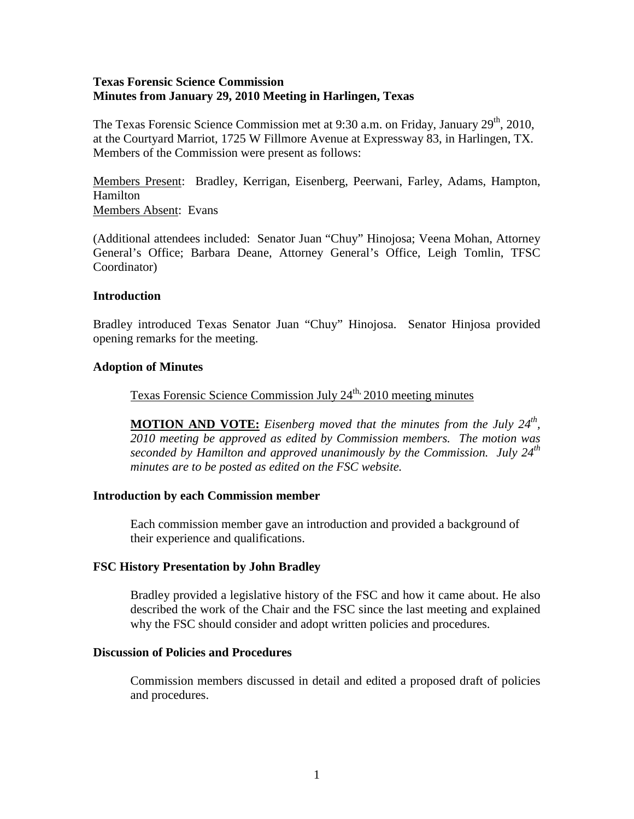# **Texas Forensic Science Commission Minutes from January 29, 2010 Meeting in Harlingen, Texas**

The Texas Forensic Science Commission met at 9:30 a.m. on Friday, January  $29<sup>th</sup>$ , 2010, at the Courtyard Marriot, 1725 W Fillmore Avenue at Expressway 83, in Harlingen, TX. Members of the Commission were present as follows:

Members Present: Bradley, Kerrigan, Eisenberg, Peerwani, Farley, Adams, Hampton, Hamilton Members Absent: Evans

(Additional attendees included: Senator Juan "Chuy" Hinojosa; Veena Mohan, Attorney General's Office; Barbara Deane, Attorney General's Office, Leigh Tomlin, TFSC Coordinator)

# **Introduction**

Bradley introduced Texas Senator Juan "Chuy" Hinojosa. Senator Hinjosa provided opening remarks for the meeting.

### **Adoption of Minutes**

Texas Forensic Science Commission July 24<sup>th,</sup> 2010 meeting minutes

**MOTION AND VOTE:** *Eisenberg moved that the minutes from the July 24th, 2010 meeting be approved as edited by Commission members. The motion was seconded by Hamilton and approved unanimously by the Commission. July 24th minutes are to be posted as edited on the FSC website.*

#### **Introduction by each Commission member**

Each commission member gave an introduction and provided a background of their experience and qualifications.

# **FSC History Presentation by John Bradley**

Bradley provided a legislative history of the FSC and how it came about. He also described the work of the Chair and the FSC since the last meeting and explained why the FSC should consider and adopt written policies and procedures.

#### **Discussion of Policies and Procedures**

Commission members discussed in detail and edited a proposed draft of policies and procedures.